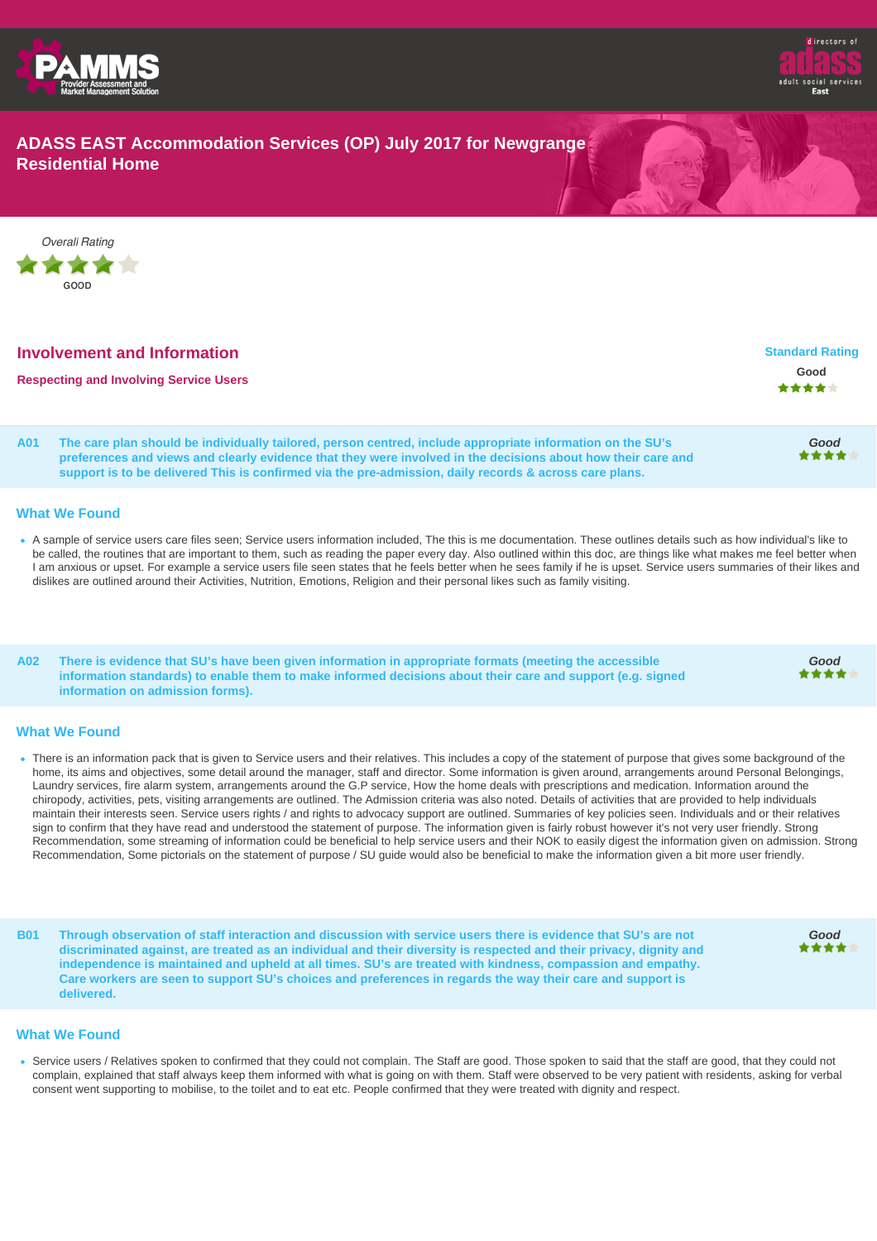



# **ADASS EAST Accommodation Services (OP) July 2017 for Newgrange Residential Home**



| <b>Involvement and Information</b>            | <b>Standard Rating</b> |
|-----------------------------------------------|------------------------|
| <b>Respecting and Involving Service Users</b> | Good<br><b>★★★★</b> ★  |
|                                               |                        |

**A01 The care plan should be individually tailored, person centred, include appropriate information on the SU's preferences and views and clearly evidence that they were involved in the decisions about how their care and support is to be delivered This is confirmed via the pre-admission, daily records & across care plans.**

# **Good**

**Good**

**Good**

#### **What We Found**

A sample of service users care files seen; Service users information included, The this is me documentation. These outlines details such as how individual's like to be called, the routines that are important to them, such as reading the paper every day. Also outlined within this doc, are things like what makes me feel better when I am anxious or upset. For example a service users file seen states that he feels better when he sees family if he is upset. Service users summaries of their likes and dislikes are outlined around their Activities, Nutrition, Emotions, Religion and their personal likes such as family visiting.

**A02 There is evidence that SU's have been given information in appropriate formats (meeting the accessible information standards) to enable them to make informed decisions about their care and support (e.g. signed information on admission forms).**

#### **What We Found**

- There is an information pack that is given to Service users and their relatives. This includes a copy of the statement of purpose that gives some background of the home, its aims and objectives, some detail around the manager, staff and director. Some information is given around, arrangements around Personal Belongings, Laundry services, fire alarm system, arrangements around the G.P service, How the home deals with prescriptions and medication. Information around the chiropody, activities, pets, visiting arrangements are outlined. The Admission criteria was also noted. Details of activities that are provided to help individuals maintain their interests seen. Service users rights / and rights to advocacy support are outlined. Summaries of key policies seen. Individuals and or their relatives sign to confirm that they have read and understood the statement of purpose. The information given is fairly robust however it's not very user friendly. Strong Recommendation, some streaming of information could be beneficial to help service users and their NOK to easily digest the information given on admission. Strong Recommendation, Some pictorials on the statement of purpose / SU guide would also be beneficial to make the information given a bit more user friendly.
- **B01 Through observation of staff interaction and discussion with service users there is evidence that SU's are not discriminated against, are treated as an individual and their diversity is respected and their privacy, dignity and independence is maintained and upheld at all times. SU's are treated with kindness, compassion and empathy. Care workers are seen to support SU's choices and preferences in regards the way their care and support is delivered.**

#### **What We Found**

Service users / Relatives spoken to confirmed that they could not complain. The Staff are good. Those spoken to said that the staff are good, that they could not complain, explained that staff always keep them informed with what is going on with them. Staff were observed to be very patient with residents, asking for verbal consent went supporting to mobilise, to the toilet and to eat etc. People confirmed that they were treated with dignity and respect.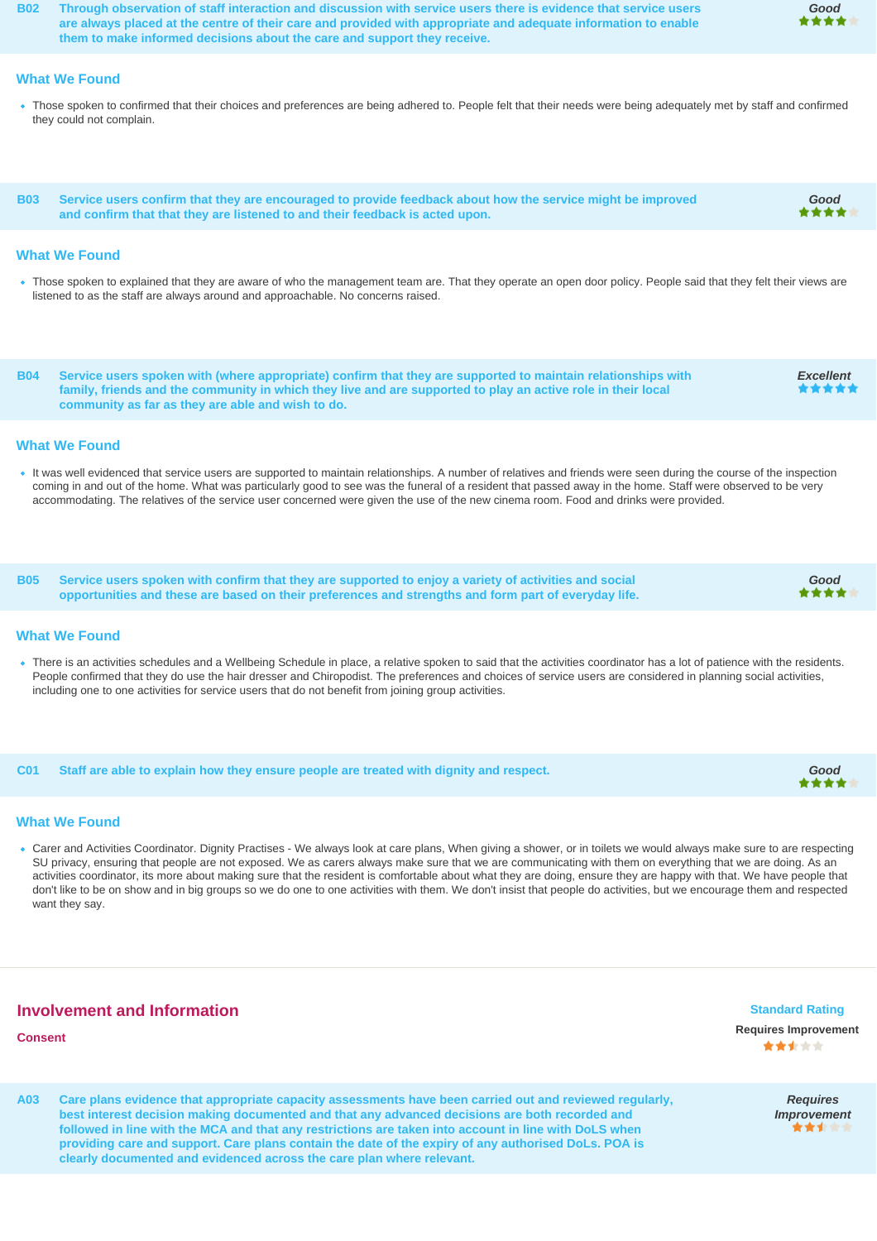**B02 Through observation of staff interaction and discussion with service users there is evidence that service users are always placed at the centre of their care and provided with appropriate and adequate information to enable them to make informed decisions about the care and support they receive.**

#### **What We Found**

• Those spoken to confirmed that their choices and preferences are being adhered to. People felt that their needs were being adequately met by staff and confirmed they could not complain.

**B03 Service users confirm that they are encouraged to provide feedback about how the service might be improved and confirm that that they are listened to and their feedback is acted upon.**

#### **What We Found**

- . Those spoken to explained that they are aware of who the management team are. That they operate an open door policy. People said that they felt their views are listened to as the staff are always around and approachable. No concerns raised.
- **B04 Service users spoken with (where appropriate) confirm that they are supported to maintain relationships with family, friends and the community in which they live and are supported to play an active role in their local community as far as they are able and wish to do.**

#### **What We Found**

- It was well evidenced that service users are supported to maintain relationships. A number of relatives and friends were seen during the course of the inspection coming in and out of the home. What was particularly good to see was the funeral of a resident that passed away in the home. Staff were observed to be very accommodating. The relatives of the service user concerned were given the use of the new cinema room. Food and drinks were provided.
- **B05 Service users spoken with confirm that they are supported to enjoy a variety of activities and social opportunities and these are based on their preferences and strengths and form part of everyday life.**

#### **What We Found**

There is an activities schedules and a Wellbeing Schedule in place, a relative spoken to said that the activities coordinator has a lot of patience with the residents. People confirmed that they do use the hair dresser and Chiropodist. The preferences and choices of service users are considered in planning social activities, including one to one activities for service users that do not benefit from joining group activities.

**C01 Staff are able to explain how they ensure people are treated with dignity and respect. Good**

#### **What We Found**

Carer and Activities Coordinator. Dignity Practises - We always look at care plans, When giving a shower, or in toilets we would always make sure to are respecting SU privacy, ensuring that people are not exposed. We as carers always make sure that we are communicating with them on everything that we are doing. As an activities coordinator, its more about making sure that the resident is comfortable about what they are doing, ensure they are happy with that. We have people that don't like to be on show and in big groups so we do one to one activities with them. We don't insist that people do activities, but we encourage them and respected want they say.

# **Involvement and Information**

# **Consent Requires Improvement**

**A03 Care plans evidence that appropriate capacity assessments have been carried out and reviewed regularly, best interest decision making documented and that any advanced decisions are both recorded and followed in line with the MCA and that any restrictions are taken into account in line with DoLS when providing care and support. Care plans contain the date of the expiry of any authorised DoLs. POA is clearly documented and evidenced across the care plan where relevant.**



# **Good**

**Good**

\*\*\*\*

**Excellent**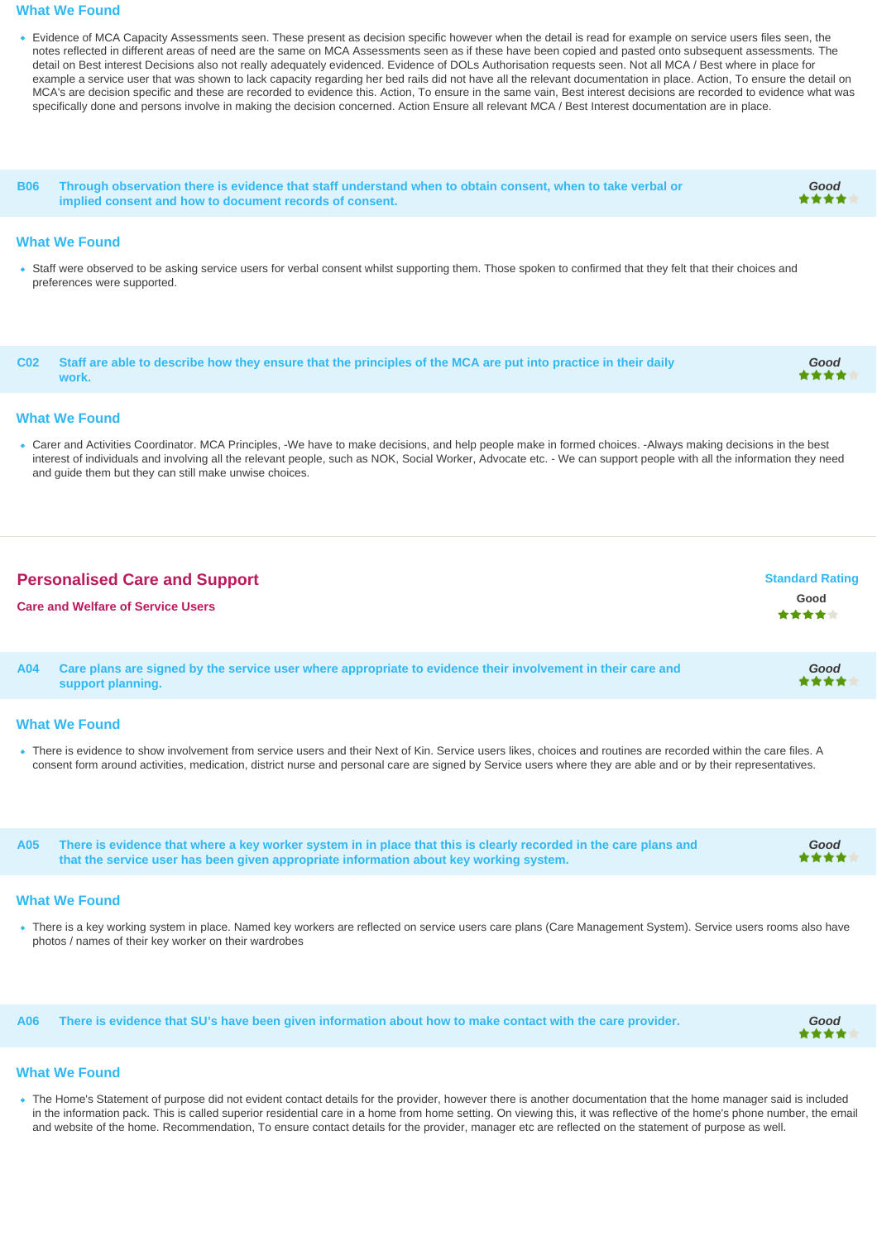#### **What We Found**

Evidence of MCA Capacity Assessments seen. These present as decision specific however when the detail is read for example on service users files seen, the notes reflected in different areas of need are the same on MCA Assessments seen as if these have been copied and pasted onto subsequent assessments. The detail on Best interest Decisions also not really adequately evidenced. Evidence of DOLs Authorisation requests seen. Not all MCA / Best where in place for example a service user that was shown to lack capacity regarding her bed rails did not have all the relevant documentation in place. Action, To ensure the detail on MCA's are decision specific and these are recorded to evidence this. Action, To ensure in the same vain, Best interest decisions are recorded to evidence what was specifically done and persons involve in making the decision concerned. Action Ensure all relevant MCA / Best Interest documentation are in place.

**B06 Through observation there is evidence that staff understand when to obtain consent, when to take verbal or implied consent and how to document records of consent.**

#### **What We Found**

Staff were observed to be asking service users for verbal consent whilst supporting them. Those spoken to confirmed that they felt that their choices and preferences were supported.

**C02 Staff are able to describe how they ensure that the principles of the MCA are put into practice in their daily work. Good**

#### **What We Found**

Carer and Activities Coordinator. MCA Principles, -We have to make decisions, and help people make in formed choices. -Always making decisions in the best interest of individuals and involving all the relevant people, such as NOK, Social Worker, Advocate etc. - We can support people with all the information they need and guide them but they can still make unwise choices.

| <b>Personalised Care and Support</b><br><b>Care and Welfare of Service Users</b> |                                                                                                                                  | <b>Standard Rating</b><br>Good<br>***** |
|----------------------------------------------------------------------------------|----------------------------------------------------------------------------------------------------------------------------------|-----------------------------------------|
| A04                                                                              | Care plans are signed by the service user where appropriate to evidence their involvement in their care and<br>support planning. | Good<br>****                            |
|                                                                                  |                                                                                                                                  |                                         |

#### **What We Found**

There is evidence to show involvement from service users and their Next of Kin. Service users likes, choices and routines are recorded within the care files. A consent form around activities, medication, district nurse and personal care are signed by Service users where they are able and or by their representatives.

**A05 There is evidence that where a key worker system in in place that this is clearly recorded in the care plans and that the service user has been given appropriate information about key working system.**

#### **What We Found**

There is a key working system in place. Named key workers are reflected on service users care plans (Care Management System). Service users rooms also have photos / names of their key worker on their wardrobes

**A06 There is evidence that SU's have been given information about how to make contact with the care provider. Good**

**Good**

**Good**

### **What We Found**

The Home's Statement of purpose did not evident contact details for the provider, however there is another documentation that the home manager said is included in the information pack. This is called superior residential care in a home from home setting. On viewing this, it was reflective of the home's phone number, the email and website of the home. Recommendation, To ensure contact details for the provider, manager etc are reflected on the statement of purpose as well.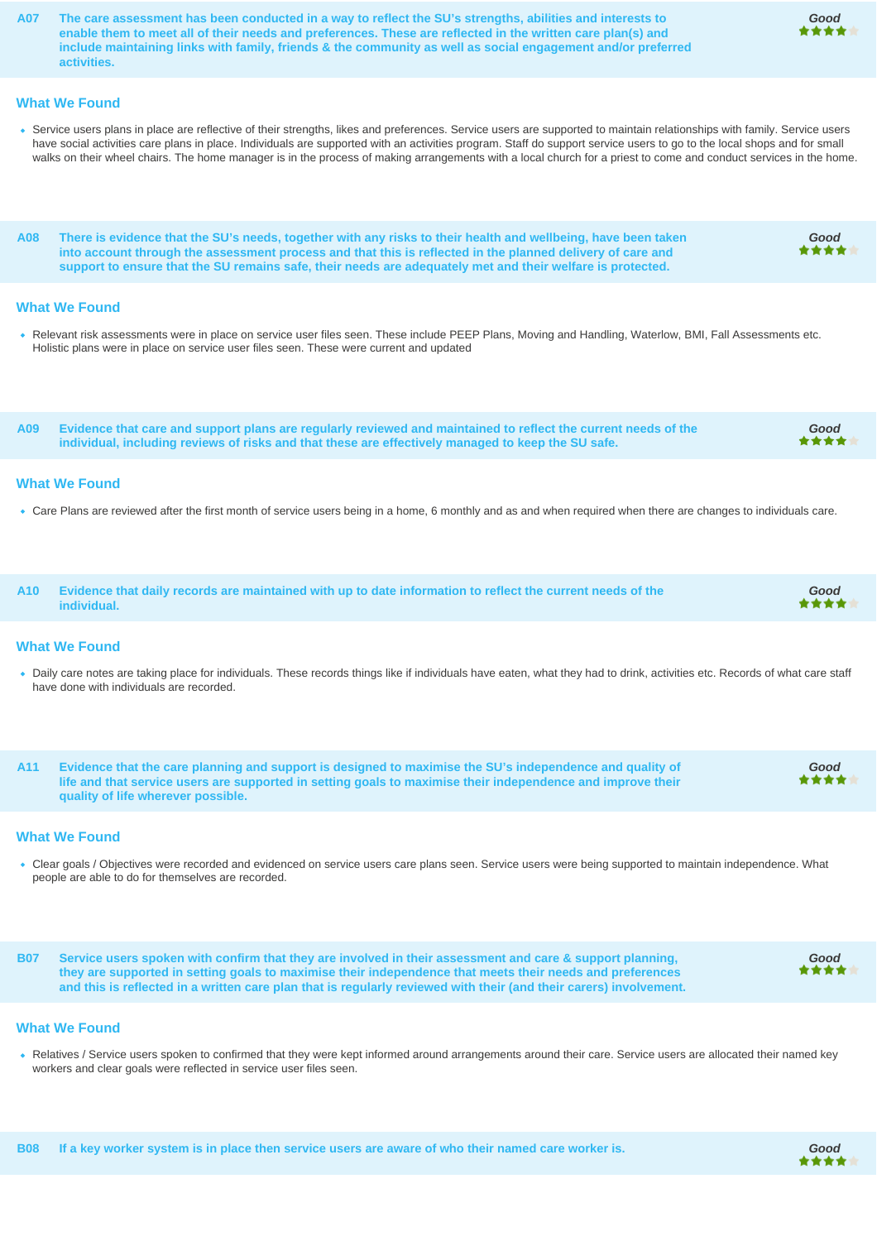**A07 The care assessment has been conducted in a way to reflect the SU's strengths, abilities and interests to enable them to meet all of their needs and preferences. These are reflected in the written care plan(s) and include maintaining links with family, friends & the community as well as social engagement and/or preferred activities.**

#### **What We Found**

Service users plans in place are reflective of their strengths, likes and preferences. Service users are supported to maintain relationships with family. Service users have social activities care plans in place. Individuals are supported with an activities program. Staff do support service users to go to the local shops and for small walks on their wheel chairs. The home manager is in the process of making arrangements with a local church for a priest to come and conduct services in the home.

**A08 There is evidence that the SU's needs, together with any risks to their health and wellbeing, have been taken into account through the assessment process and that this is reflected in the planned delivery of care and support to ensure that the SU remains safe, their needs are adequately met and their welfare is protected.**

#### **What We Found**

Relevant risk assessments were in place on service user files seen. These include PEEP Plans, Moving and Handling, Waterlow, BMI, Fall Assessments etc. Holistic plans were in place on service user files seen. These were current and updated

**A09 Evidence that care and support plans are regularly reviewed and maintained to reflect the current needs of the individual, including reviews of risks and that these are effectively managed to keep the SU safe.**

#### **What We Found**

- Care Plans are reviewed after the first month of service users being in a home, 6 monthly and as and when required when there are changes to individuals care.
- **A10 Evidence that daily records are maintained with up to date information to reflect the current needs of the individual.**

#### **What We Found**

- Daily care notes are taking place for individuals. These records things like if individuals have eaten, what they had to drink, activities etc. Records of what care staff have done with individuals are recorded.
- **A11 Evidence that the care planning and support is designed to maximise the SU's independence and quality of life and that service users are supported in setting goals to maximise their independence and improve their quality of life wherever possible.**

#### **What We Found**

Clear goals / Objectives were recorded and evidenced on service users care plans seen. Service users were being supported to maintain independence. What people are able to do for themselves are recorded.

**B07 Service users spoken with confirm that they are involved in their assessment and care & support planning, they are supported in setting goals to maximise their independence that meets their needs and preferences and this is reflected in a written care plan that is regularly reviewed with their (and their carers) involvement.**

#### **What We Found**

Relatives / Service users spoken to confirmed that they were kept informed around arrangements around their care. Service users are allocated their named key workers and clear goals were reflected in service user files seen.



**Good**

**Good**

**Good**

**Good**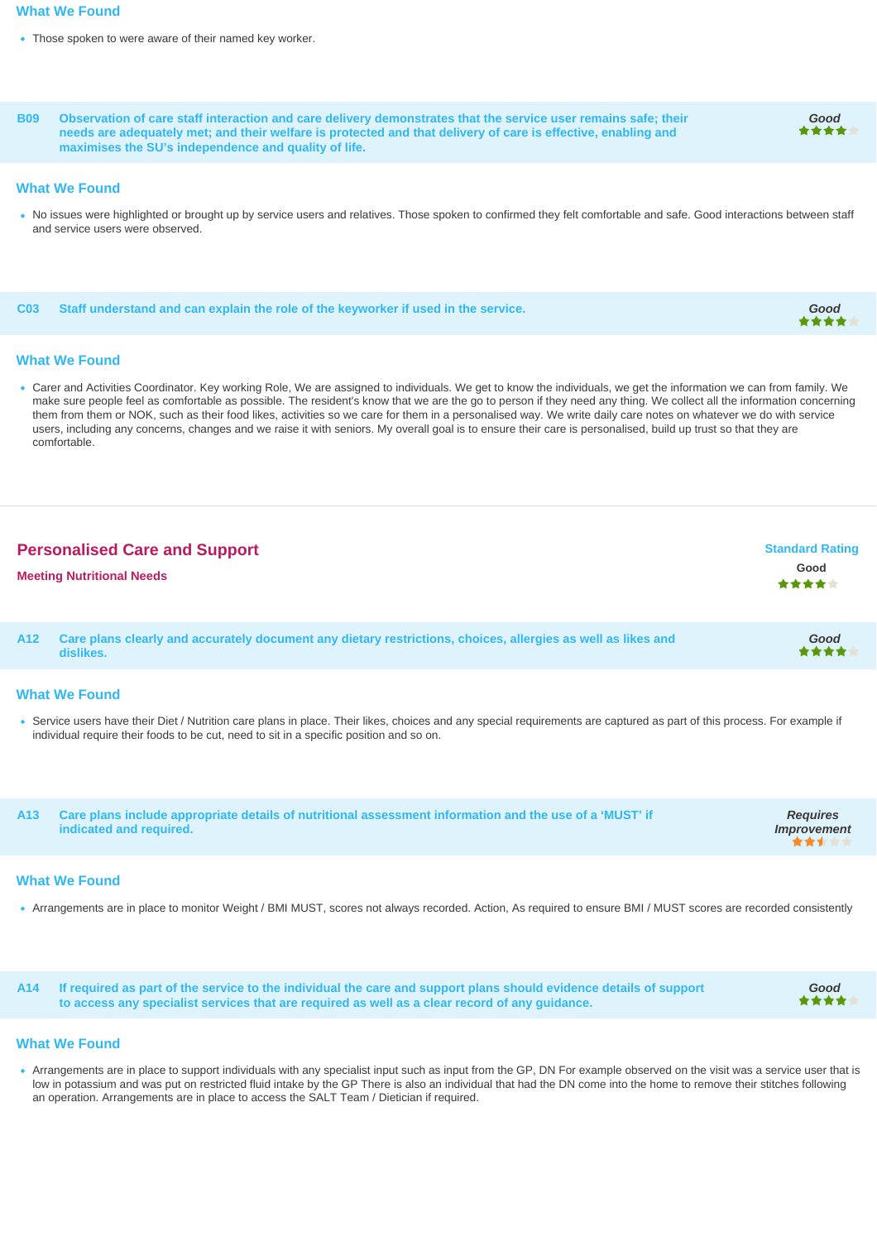#### **What We Found**

- Those spoken to were aware of their named key worker.
- **B09 Observation of care staff interaction and care delivery demonstrates that the service user remains safe; their needs are adequately met; and their welfare is protected and that delivery of care is effective, enabling and maximises the SU's independence and quality of life.**

#### **What We Found**

No issues were highlighted or brought up by service users and relatives. Those spoken to confirmed they felt comfortable and safe. Good interactions between staff and service users were observed.

**C03 Staff understand and can explain the role of the keyworker if used in the service. Good**

#### **What We Found**

Carer and Activities Coordinator. Key working Role, We are assigned to individuals. We get to know the individuals, we get the information we can from family. We make sure people feel as comfortable as possible. The resident's know that we are the go to person if they need any thing. We collect all the information concerning them from them or NOK, such as their food likes, activities so we care for them in a personalised way. We write daily care notes on whatever we do with service users, including any concerns, changes and we raise it with seniors. My overall goal is to ensure their care is personalised, build up trust so that they are comfortable.

| <b>Personalised Care and Support</b> | <b>Standard Rating</b> |
|--------------------------------------|------------------------|
| <b>Meeting Nutritional Needs</b>     | Good<br>*****          |
|                                      |                        |

**A12 Care plans clearly and accurately document any dietary restrictions, choices, allergies as well as likes and dislikes. Good**

#### **What We Found**

. Service users have their Diet / Nutrition care plans in place. Their likes, choices and any special requirements are captured as part of this process. For example if individual require their foods to be cut, need to sit in a specific position and so on.

| A13 Care plans include appropriate details of nutritional assessment information and the use of a 'MUST' if<br>indicated and required. | <b>Requires</b><br>Improvement |
|----------------------------------------------------------------------------------------------------------------------------------------|--------------------------------|
|                                                                                                                                        |                                |

#### **What We Found**

Arrangements are in place to monitor Weight / BMI MUST, scores not always recorded. Action, As required to ensure BMI / MUST scores are recorded consistently

**A14 If required as part of the service to the individual the care and support plans should evidence details of support to access any specialist services that are required as well as a clear record of any guidance.**

# **Good**

**Good**

#### **What We Found**

Arrangements are in place to support individuals with any specialist input such as input from the GP, DN For example observed on the visit was a service user that is low in potassium and was put on restricted fluid intake by the GP There is also an individual that had the DN come into the home to remove their stitches following an operation. Arrangements are in place to access the SALT Team / Dietician if required.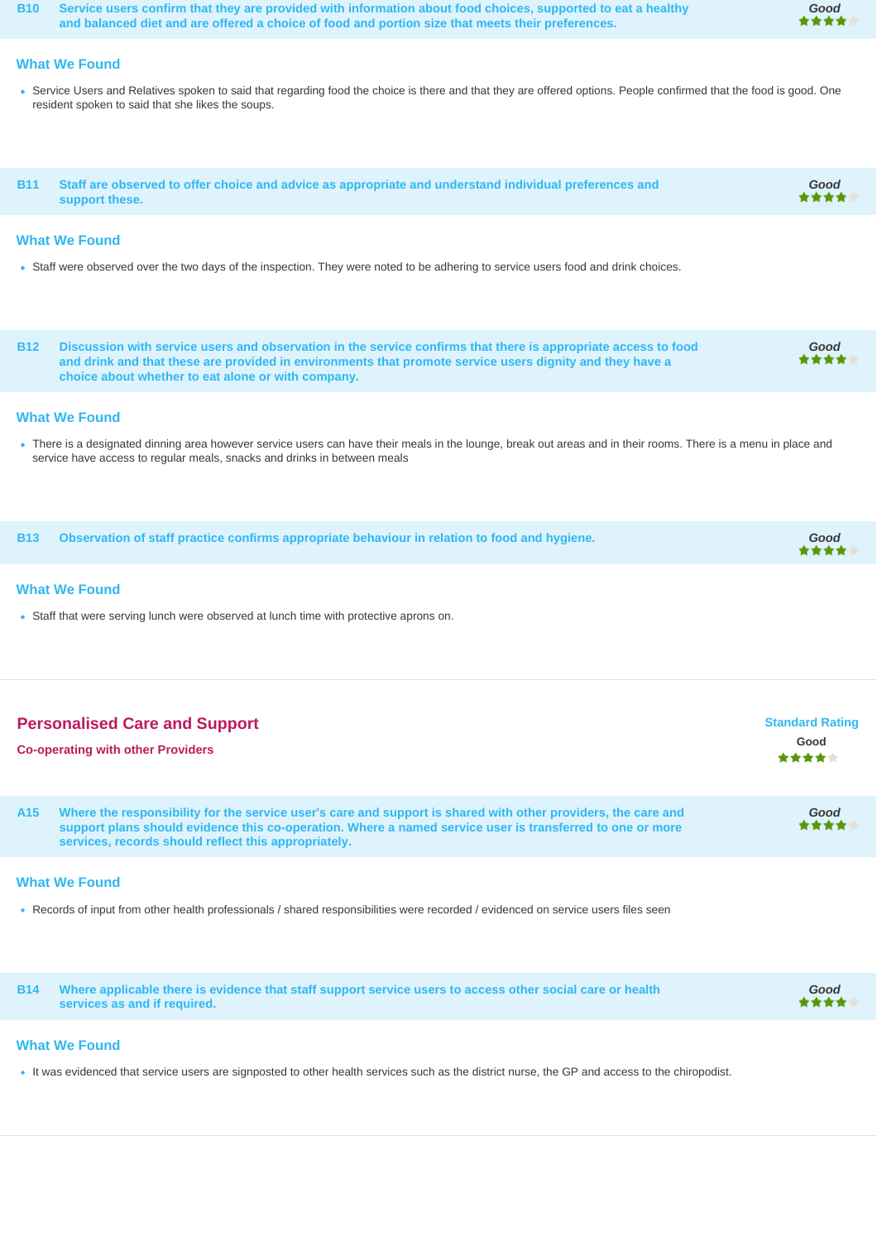**B10 Service users confirm that they are provided with information about food choices, supported to eat a healthy and balanced diet and are offered a choice of food and portion size that meets their preferences.**

# **Good**

# **What We Found**

• Service Users and Relatives spoken to said that regarding food the choice is there and that they are offered options. People confirmed that the food is good. One resident spoken to said that she likes the soups.

| B11 Staff are observed to offer choice and advice as appropriate and understand individual preferences and | Good |
|------------------------------------------------------------------------------------------------------------|------|
| support these.                                                                                             | **** |

# **What We Found**

Staff were observed over the two days of the inspection. They were noted to be adhering to service users food and drink choices.

**B12 Discussion with service users and observation in the service confirms that there is appropriate access to food and drink and that these are provided in environments that promote service users dignity and they have a choice about whether to eat alone or with company. Good**

#### **What We Found**

. There is a designated dinning area however service users can have their meals in the lounge, break out areas and in their rooms. There is a menu in place and service have access to regular meals, snacks and drinks in between meals

**B13 Observation of staff practice confirms appropriate behaviour in relation to food and hygiene. Good**

#### **What We Found**

Staff that were serving lunch were observed at lunch time with protective aprons on.

| <b>Personalised Care and Support</b><br><b>Co-operating with other Providers</b> |                                                                                                                                                                                                                                                                                    | <b>Standard Rating</b><br>Good<br>***** |
|----------------------------------------------------------------------------------|------------------------------------------------------------------------------------------------------------------------------------------------------------------------------------------------------------------------------------------------------------------------------------|-----------------------------------------|
| A <sub>15</sub>                                                                  | Where the responsibility for the service user's care and support is shared with other providers, the care and<br>support plans should evidence this co-operation. Where a named service user is transferred to one or more<br>services, records should reflect this appropriately. | Good<br>****                            |

#### **What We Found**

Records of input from other health professionals / shared responsibilities were recorded / evidenced on service users files seen

|  | B14 Where applicable there is evidence that staff support service users to access other social care or health<br>services as and if required. | Good<br>**** |
|--|-----------------------------------------------------------------------------------------------------------------------------------------------|--------------|
|--|-----------------------------------------------------------------------------------------------------------------------------------------------|--------------|

## **What We Found**

It was evidenced that service users are signposted to other health services such as the district nurse, the GP and access to the chiropodist.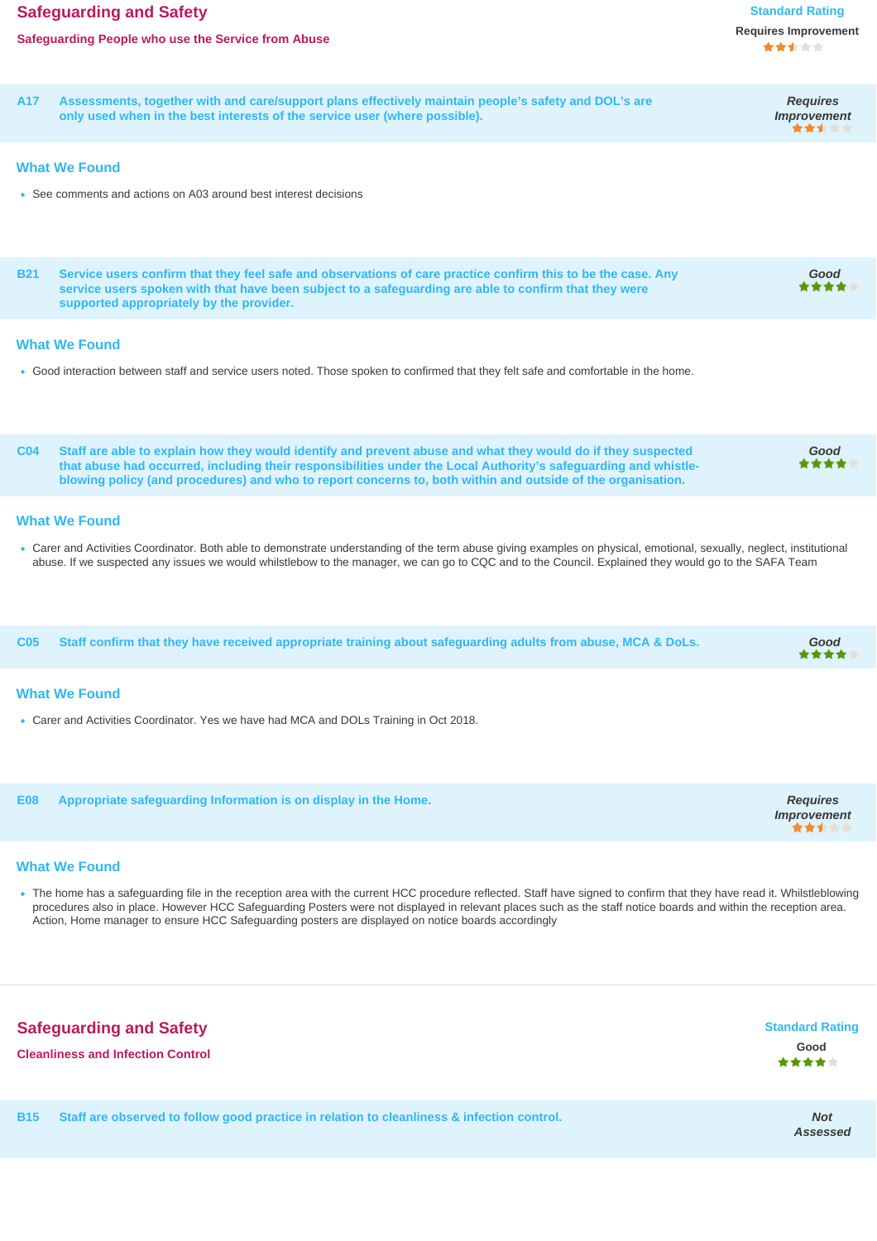# **Safeguarding and Safety Standard Rating Standard Rating**

**Requires Improvement**

**A17 Assessments, together with and care/support plans effectively maintain people's safety and DOL's are only used when in the best interests of the service user (where possible).**

#### **What We Found**

See comments and actions on A03 around best interest decisions

| <b>B21</b><br>Service users confirm that they feel safe and observations of care practice confirm this to be the case. Any<br>service users spoken with that have been subject to a safeguarding are able to confirm that they were<br>supported appropriately by the provider.                                                                       | Good                                           |
|-------------------------------------------------------------------------------------------------------------------------------------------------------------------------------------------------------------------------------------------------------------------------------------------------------------------------------------------------------|------------------------------------------------|
| <b>What We Found</b>                                                                                                                                                                                                                                                                                                                                  |                                                |
| . Good interaction between staff and service users noted. Those spoken to confirmed that they felt safe and comfortable in the home.                                                                                                                                                                                                                  |                                                |
| Staff are able to explain how they would identify and prevent abuse and what they would do if they suspected<br>CO4<br>that abuse had occurred, including their responsibilities under the Local Authority's safeguarding and whistle-<br>blowing policy (and procedures) and who to report concerns to, both within and outside of the organisation. | Good<br>***                                    |
| <b>What We Found</b>                                                                                                                                                                                                                                                                                                                                  |                                                |
| • Carer and Activities Coordinator. Both able to demonstrate understanding of the term abuse giving examples on physical, emotional, sexually, neglect, institutional<br>abuse. If we suspected any issues we would whilstlebow to the manager, we can go to CQC and to the Council. Explained they would go to the SAFA Team                         |                                                |
| C <sub>05</sub><br>Staff confirm that they have received appropriate training about safeguarding adults from abuse, MCA & DoLs.                                                                                                                                                                                                                       | Good                                           |
| <b>What We Found</b>                                                                                                                                                                                                                                                                                                                                  |                                                |
| • Carer and Activities Coordinator. Yes we have had MCA and DOLs Training in Oct 2018.                                                                                                                                                                                                                                                                |                                                |
| Appropriate safeguarding Information is on display in the Home.<br><b>E08</b>                                                                                                                                                                                                                                                                         | <b>Requires</b><br><b>Improvement</b><br>***** |
| <b>What We Found</b>                                                                                                                                                                                                                                                                                                                                  |                                                |
| • The home has a safeguarding file in the reception area with the current HCC procedure reflected. Staff have signed to confirm that they have read it. Whilstleblowing<br>procedures also in place. However HCC Safeguarding Posters were not displayed in relevant places such as the staff notice boards and within the reception area.            |                                                |



Action, Home manager to ensure HCC Safeguarding posters are displayed on notice boards accordingly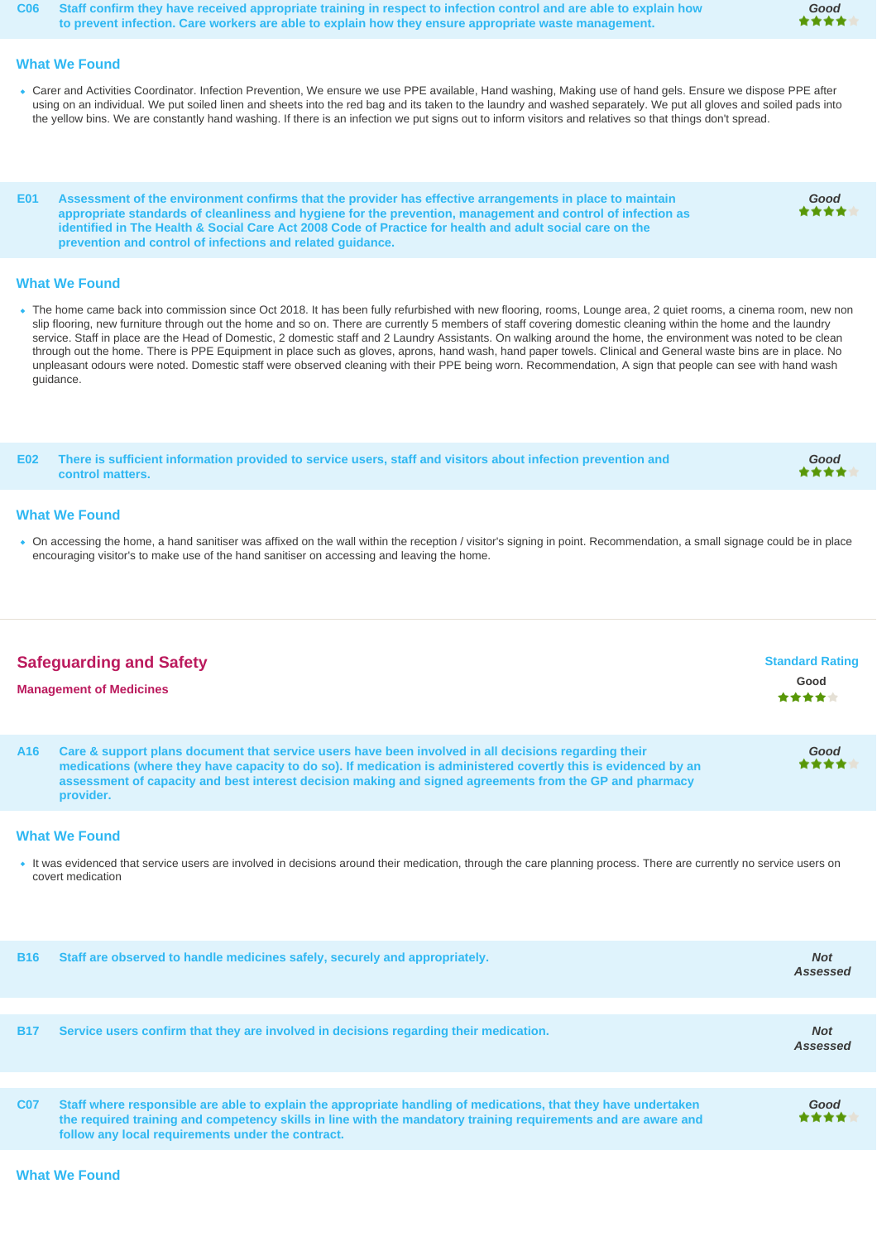**C06 Staff confirm they have received appropriate training in respect to infection control and are able to explain how to prevent infection. Care workers are able to explain how they ensure appropriate waste management.**

#### **What We Found**

- Carer and Activities Coordinator. Infection Prevention, We ensure we use PPE available, Hand washing, Making use of hand gels. Ensure we dispose PPE after using on an individual. We put soiled linen and sheets into the red bag and its taken to the laundry and washed separately. We put all gloves and soiled pads into the yellow bins. We are constantly hand washing. If there is an infection we put signs out to inform visitors and relatives so that things don't spread.
- **E01 Assessment of the environment confirms that the provider has effective arrangements in place to maintain appropriate standards of cleanliness and hygiene for the prevention, management and control of infection as identified in The Health & Social Care Act 2008 Code of Practice for health and adult social care on the prevention and control of infections and related guidance.**

## **What We Found**

. The home came back into commission since Oct 2018. It has been fully refurbished with new flooring, rooms, Lounge area, 2 quiet rooms, a cinema room, new non slip flooring, new furniture through out the home and so on. There are currently 5 members of staff covering domestic cleaning within the home and the laundry service. Staff in place are the Head of Domestic, 2 domestic staff and 2 Laundry Assistants. On walking around the home, the environment was noted to be clean through out the home. There is PPE Equipment in place such as gloves, aprons, hand wash, hand paper towels. Clinical and General waste bins are in place. No unpleasant odours were noted. Domestic staff were observed cleaning with their PPE being worn. Recommendation, A sign that people can see with hand wash guidance.

**E02 There is sufficient information provided to service users, staff and visitors about infection prevention and Good** ٠ **control matters.**

#### **What We Found**

On accessing the home, a hand sanitiser was affixed on the wall within the reception / visitor's signing in point. Recommendation, a small signage could be in place encouraging visitor's to make use of the hand sanitiser on accessing and leaving the home.

| <b>Safeguarding and Safety</b><br><b>Management of Medicines</b> |                                                                                                                                                                                                                                                                                                                                                 | <b>Standard Rating</b><br>Good<br>***** |
|------------------------------------------------------------------|-------------------------------------------------------------------------------------------------------------------------------------------------------------------------------------------------------------------------------------------------------------------------------------------------------------------------------------------------|-----------------------------------------|
| A <sub>16</sub>                                                  | Care & support plans document that service users have been involved in all decisions regarding their<br>medications (where they have capacity to do so). If medication is administered covertly this is evidenced by an<br>assessment of capacity and best interest decision making and signed agreements from the GP and pharmacy<br>provider. | Good<br>****                            |

#### **What We Found**

It was evidenced that service users are involved in decisions around their medication, through the care planning process. There are currently no service users on covert medication

| <b>B16</b> | Staff are observed to handle medicines safely, securely and appropriately.                                                                                                                                                                                                            | <b>Not</b><br>Assessed |
|------------|---------------------------------------------------------------------------------------------------------------------------------------------------------------------------------------------------------------------------------------------------------------------------------------|------------------------|
|            |                                                                                                                                                                                                                                                                                       |                        |
| <b>B17</b> | Service users confirm that they are involved in decisions regarding their medication.                                                                                                                                                                                                 | <b>Not</b><br>Assessed |
|            |                                                                                                                                                                                                                                                                                       |                        |
| <b>C07</b> | Staff where responsible are able to explain the appropriate handling of medications, that they have undertaken<br>the required training and competency skills in line with the mandatory training requirements and are aware and<br>follow any local requirements under the contract. | Good<br>****           |

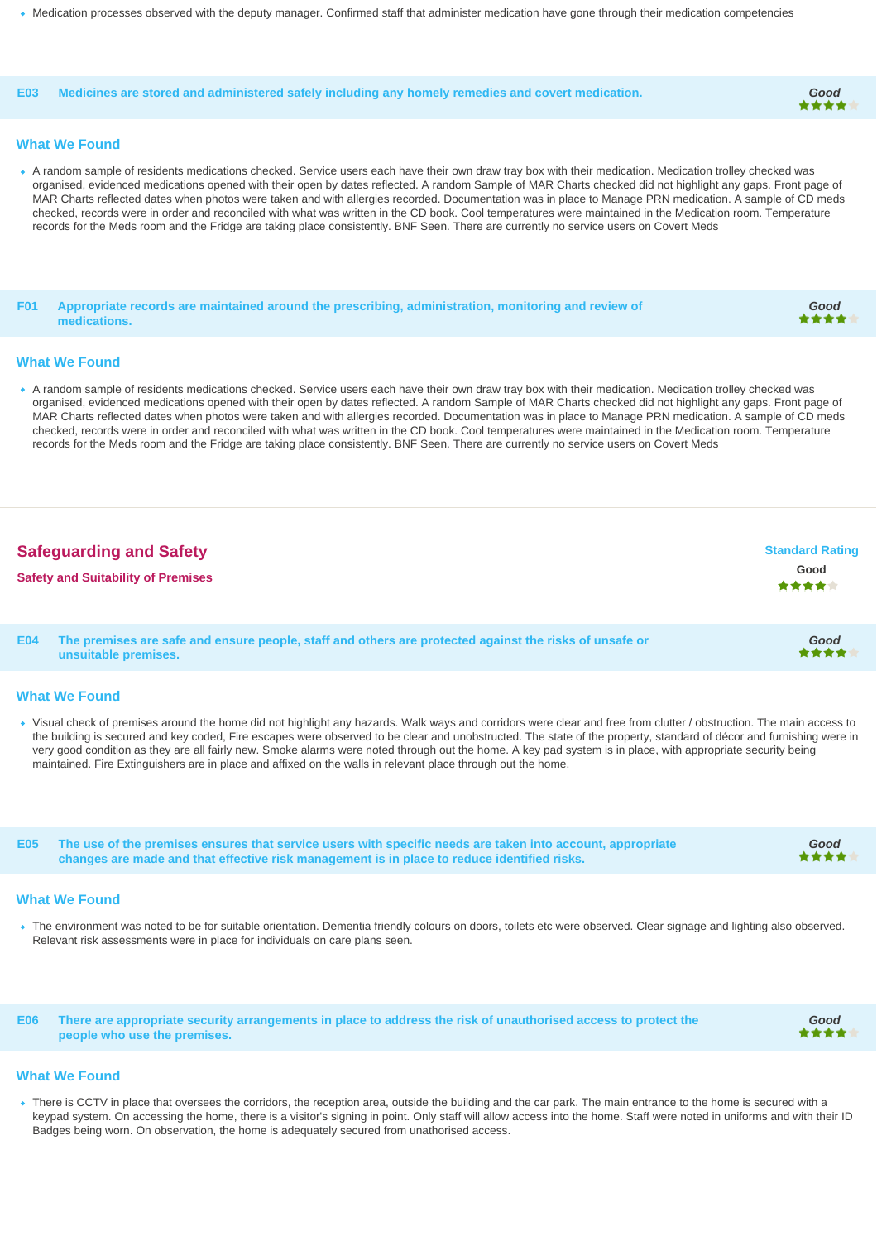Medication processes observed with the deputy manager. Confirmed staff that administer medication have gone through their medication competencies

#### **E03 Medicines are stored and administered safely including any homely remedies and covert medication. Good**

#### **What We Found**

- A random sample of residents medications checked. Service users each have their own draw tray box with their medication. Medication trolley checked was organised, evidenced medications opened with their open by dates reflected. A random Sample of MAR Charts checked did not highlight any gaps. Front page of MAR Charts reflected dates when photos were taken and with allergies recorded. Documentation was in place to Manage PRN medication. A sample of CD meds checked, records were in order and reconciled with what was written in the CD book. Cool temperatures were maintained in the Medication room. Temperature records for the Meds room and the Fridge are taking place consistently. BNF Seen. There are currently no service users on Covert Meds
- **F01 Appropriate records are maintained around the prescribing, administration, monitoring and review of medications.**

# **Good**

**Good**

**Good**

#### **What We Found**

A random sample of residents medications checked. Service users each have their own draw tray box with their medication. Medication trolley checked was organised, evidenced medications opened with their open by dates reflected. A random Sample of MAR Charts checked did not highlight any gaps. Front page of MAR Charts reflected dates when photos were taken and with allergies recorded. Documentation was in place to Manage PRN medication. A sample of CD meds checked, records were in order and reconciled with what was written in the CD book. Cool temperatures were maintained in the Medication room. Temperature records for the Meds room and the Fridge are taking place consistently. BNF Seen. There are currently no service users on Covert Meds

| <b>Safeguarding and Safety</b>            | <b>Standard Rating</b> |
|-------------------------------------------|------------------------|
| <b>Safety and Suitability of Premises</b> | Good<br><b>女女女女</b> 女  |
|                                           |                        |

**E04 The premises are safe and ensure people, staff and others are protected against the risks of unsafe or unsuitable premises.**

#### **What We Found**

Visual check of premises around the home did not highlight any hazards. Walk ways and corridors were clear and free from clutter / obstruction. The main access to the building is secured and key coded, Fire escapes were observed to be clear and unobstructed. The state of the property, standard of décor and furnishing were in very good condition as they are all fairly new. Smoke alarms were noted through out the home. A key pad system is in place, with appropriate security being maintained. Fire Extinguishers are in place and affixed on the walls in relevant place through out the home.

**E05 The use of the premises ensures that service users with specific needs are taken into account, appropriate changes are made and that effective risk management is in place to reduce identified risks.**

#### **What We Found**

The environment was noted to be for suitable orientation. Dementia friendly colours on doors, toilets etc were observed. Clear signage and lighting also observed. Relevant risk assessments were in place for individuals on care plans seen.

**E06 There are appropriate security arrangements in place to address the risk of unauthorised access to protect the people who use the premises. Good**

#### **What We Found**

• There is CCTV in place that oversees the corridors, the reception area, outside the building and the car park. The main entrance to the home is secured with a keypad system. On accessing the home, there is a visitor's signing in point. Only staff will allow access into the home. Staff were noted in uniforms and with their ID Badges being worn. On observation, the home is adequately secured from unathorised access.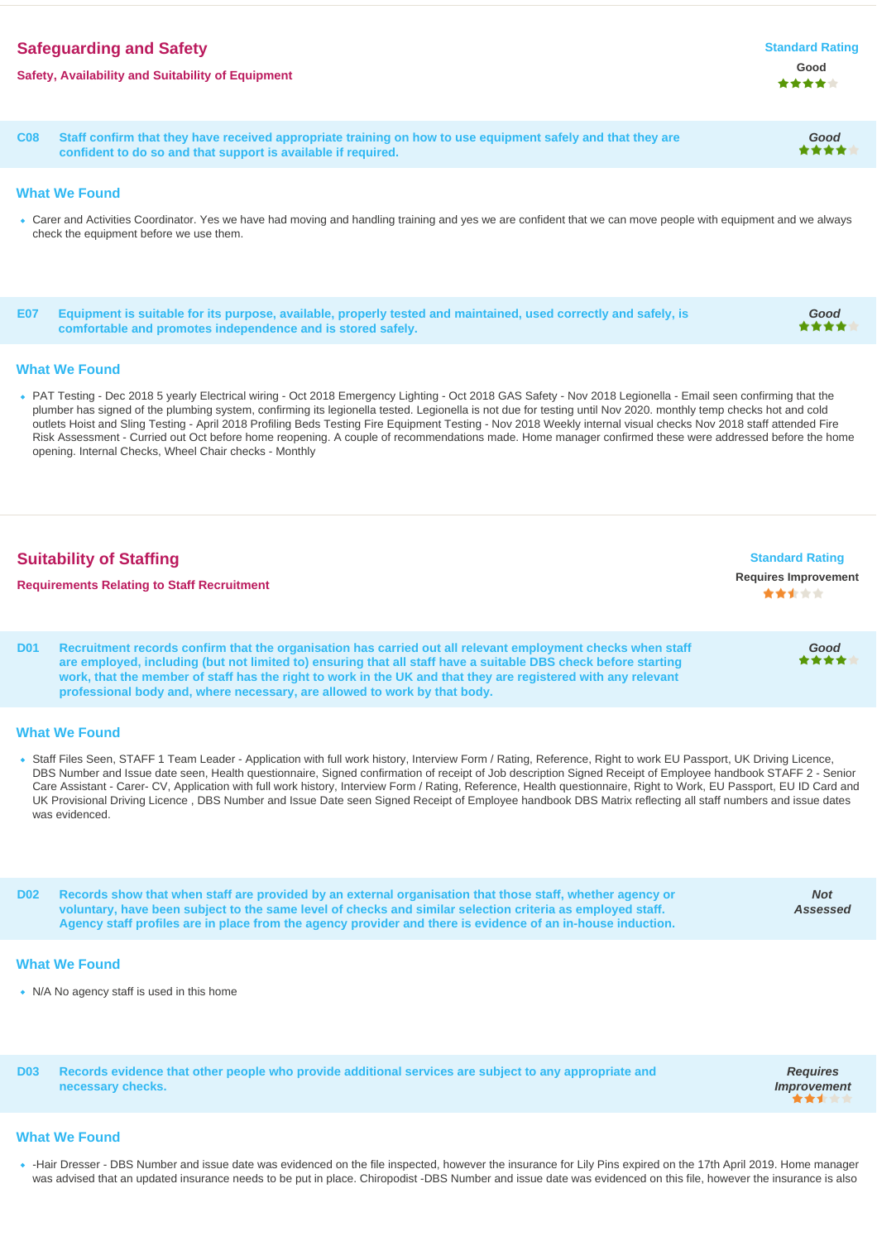# **Safeguarding and Safety Standard Rating 3.2 and 2.3 and 2.4 and 2.4 and 2.4 and 2.4 and 2.4 and 2.4 and 2.4 and 2.4 and 2.4 and 2.4 and 2.4 and 2.4 and 2.4 and 2.4 and 2.4 and 2.4 and 2.4 and 2.4 and 2.4 and 2.4 and 2.4**

# **Safety, Availability and Suitability of Equipment Good**

**C08 Staff confirm that they have received appropriate training on how to use equipment safely and that they are confident to do so and that support is available if required.**

## **What We Found**

- Carer and Activities Coordinator. Yes we have had moving and handling training and yes we are confident that we can move people with equipment and we always check the equipment before we use them.
- **E07 Equipment is suitable for its purpose, available, properly tested and maintained, used correctly and safely, is comfortable and promotes independence and is stored safely.**

# **What We Found**

PAT Testing - Dec 2018 5 yearly Electrical wiring - Oct 2018 Emergency Lighting - Oct 2018 GAS Safety - Nov 2018 Legionella - Email seen confirming that the plumber has signed of the plumbing system, confirming its legionella tested. Legionella is not due for testing until Nov 2020. monthly temp checks hot and cold outlets Hoist and Sling Testing - April 2018 Profiling Beds Testing Fire Equipment Testing - Nov 2018 Weekly internal visual checks Nov 2018 staff attended Fire Risk Assessment - Curried out Oct before home reopening. A couple of recommendations made. Home manager confirmed these were addressed before the home opening. Internal Checks, Wheel Chair checks - Monthly

| <b>Suitability of Staffing</b><br><b>Requirements Relating to Staff Recruitment</b> |                                                                                                                                                                                                                               | <b>Standard Rating</b><br><b>Requires Improvement</b><br>大大大大大 |
|-------------------------------------------------------------------------------------|-------------------------------------------------------------------------------------------------------------------------------------------------------------------------------------------------------------------------------|----------------------------------------------------------------|
| D <sub>01</sub>                                                                     | Recruitment records confirm that the organisation has carried out all relevant employment checks when staff<br>are employed, including (but not limited to) ensuring that all staff have a suitable DBS check before starting | Good<br>****                                                   |

**work, that the member of staff has the right to work in the UK and that they are registered with any relevant professional body and, where necessary, are allowed to work by that body.**

## **What We Found**

Staff Files Seen, STAFF 1 Team Leader - Application with full work history, Interview Form / Rating, Reference, Right to work EU Passport, UK Driving Licence, DBS Number and Issue date seen, Health questionnaire, Signed confirmation of receipt of Job description Signed Receipt of Employee handbook STAFF 2 - Senior Care Assistant - Carer- CV, Application with full work history, Interview Form / Rating, Reference, Health questionnaire, Right to Work, EU Passport, EU ID Card and UK Provisional Driving Licence , DBS Number and Issue Date seen Signed Receipt of Employee handbook DBS Matrix reflecting all staff numbers and issue dates was evidenced.

**D02 Records show that when staff are provided by an external organisation that those staff, whether agency or voluntary, have been subject to the same level of checks and similar selection criteria as employed staff. Agency staff profiles are in place from the agency provider and there is evidence of an in-house induction. Not Assessed**

# **What We Found**

• N/A No agency staff is used in this home

**D03 Records evidence that other people who provide additional services are subject to any appropriate and necessary checks.**

**Requires Improvement**

#### **What We Found**

• -Hair Dresser - DBS Number and issue date was evidenced on the file inspected, however the insurance for Lily Pins expired on the 17th April 2019. Home manager was advised that an updated insurance needs to be put in place. Chiropodist -DBS Number and issue date was evidenced on this file, however the insurance is also

**Good**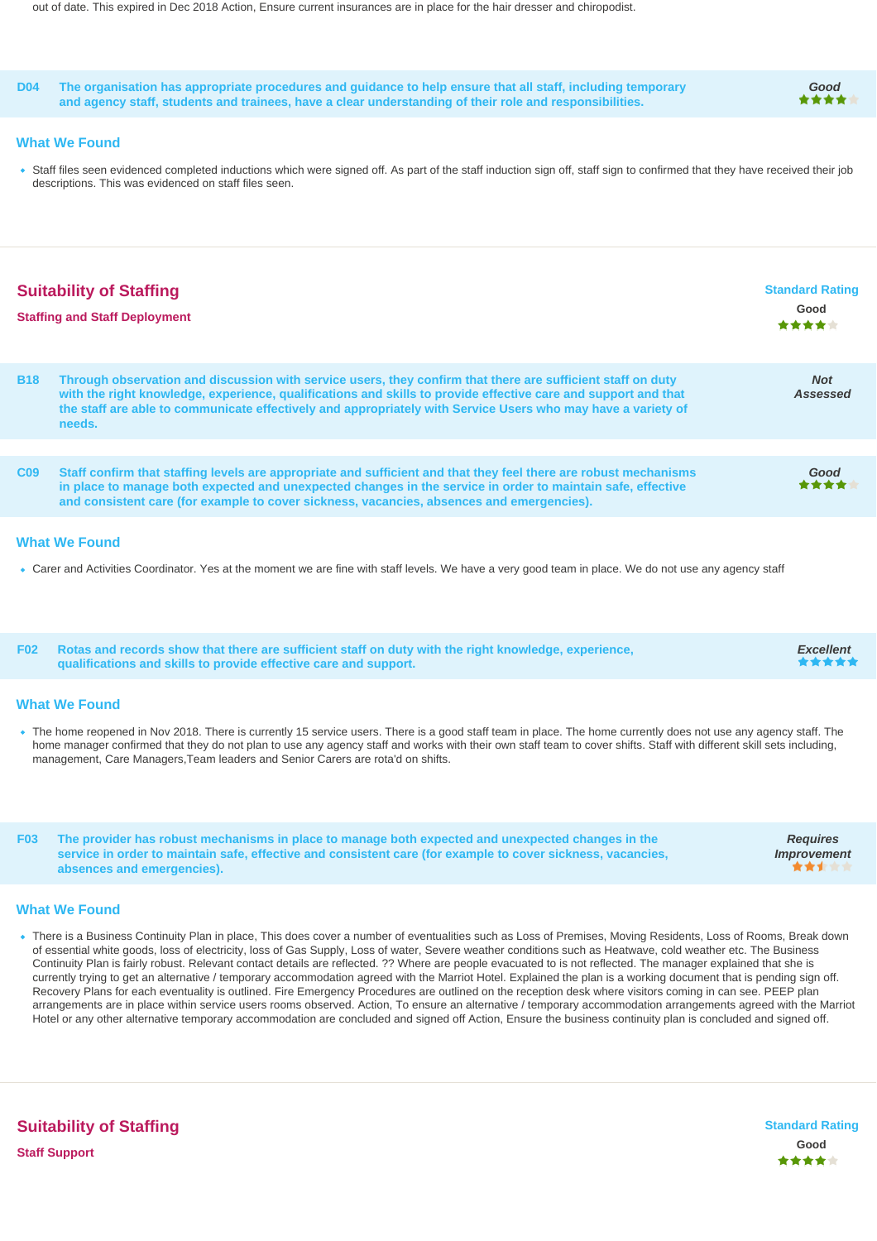out of date. This expired in Dec 2018 Action, Ensure current insurances are in place for the hair dresser and chiropodist.

|                                                                                                                                                                                                                                                                                                                                                                                                                             | <b>D04</b>                                                                                                                                                                                                                                                   | The organisation has appropriate procedures and guidance to help ensure that all staff, including temporary<br>and agency staff, students and trainees, have a clear understanding of their role and responsibilities.                                                                                                                                  | Good                                    |
|-----------------------------------------------------------------------------------------------------------------------------------------------------------------------------------------------------------------------------------------------------------------------------------------------------------------------------------------------------------------------------------------------------------------------------|--------------------------------------------------------------------------------------------------------------------------------------------------------------------------------------------------------------------------------------------------------------|---------------------------------------------------------------------------------------------------------------------------------------------------------------------------------------------------------------------------------------------------------------------------------------------------------------------------------------------------------|-----------------------------------------|
|                                                                                                                                                                                                                                                                                                                                                                                                                             | <b>What We Found</b><br>• Staff files seen evidenced completed inductions which were signed off. As part of the staff induction sign off, staff sign to confirmed that they have received their job<br>descriptions. This was evidenced on staff files seen. |                                                                                                                                                                                                                                                                                                                                                         |                                         |
|                                                                                                                                                                                                                                                                                                                                                                                                                             |                                                                                                                                                                                                                                                              | <b>Suitability of Staffing</b><br><b>Staffing and Staff Deployment</b>                                                                                                                                                                                                                                                                                  | <b>Standard Rating</b><br>Good<br>***** |
|                                                                                                                                                                                                                                                                                                                                                                                                                             | <b>B18</b>                                                                                                                                                                                                                                                   | Through observation and discussion with service users, they confirm that there are sufficient staff on duty<br>with the right knowledge, experience, qualifications and skills to provide effective care and support and that<br>the staff are able to communicate effectively and appropriately with Service Users who may have a variety of<br>needs. | <b>Not</b><br>Assessed                  |
|                                                                                                                                                                                                                                                                                                                                                                                                                             | C <sub>09</sub>                                                                                                                                                                                                                                              | Staff confirm that staffing levels are appropriate and sufficient and that they feel there are robust mechanisms<br>in place to manage both expected and unexpected changes in the service in order to maintain safe, effective<br>and consistent care (for example to cover sickness, vacancies, absences and emergencies).                            | Good                                    |
|                                                                                                                                                                                                                                                                                                                                                                                                                             |                                                                                                                                                                                                                                                              | <b>What We Found</b>                                                                                                                                                                                                                                                                                                                                    |                                         |
| • Carer and Activities Coordinator. Yes at the moment we are fine with staff levels. We have a very good team in place. We do not use any agency staff                                                                                                                                                                                                                                                                      |                                                                                                                                                                                                                                                              |                                                                                                                                                                                                                                                                                                                                                         |                                         |
|                                                                                                                                                                                                                                                                                                                                                                                                                             | <b>F02</b>                                                                                                                                                                                                                                                   | Rotas and records show that there are sufficient staff on duty with the right knowledge, experience,<br>qualifications and skills to provide effective care and support.                                                                                                                                                                                | <b>Excellent</b>                        |
| <b>What We Found</b>                                                                                                                                                                                                                                                                                                                                                                                                        |                                                                                                                                                                                                                                                              |                                                                                                                                                                                                                                                                                                                                                         |                                         |
| • The home reopened in Nov 2018. There is currently 15 service users. There is a good staff team in place. The home currently does not use any agency staff. The<br>home manager confirmed that they do not plan to use any agency staff and works with their own staff team to cover shifts. Staff with different skill sets including,<br>management, Care Managers, Team leaders and Senior Carers are rota'd on shifts. |                                                                                                                                                                                                                                                              |                                                                                                                                                                                                                                                                                                                                                         |                                         |
|                                                                                                                                                                                                                                                                                                                                                                                                                             | F <sub>03</sub>                                                                                                                                                                                                                                              | The provider has robust mechanisms in place to manage both expected and unexpected changes in the                                                                                                                                                                                                                                                       | <b>Requires</b>                         |

**F03 The provider has robust mechanisms in place to manage both expected and unexpected changes in the service in order to maintain safe, effective and consistent care (for example to cover sickness, vacancies, absences and emergencies).**

#### **What We Found**

There is a Business Continuity Plan in place, This does cover a number of eventualities such as Loss of Premises, Moving Residents, Loss of Rooms, Break down of essential white goods, loss of electricity, loss of Gas Supply, Loss of water, Severe weather conditions such as Heatwave, cold weather etc. The Business Continuity Plan is fairly robust. Relevant contact details are reflected. ?? Where are people evacuated to is not reflected. The manager explained that she is currently trying to get an alternative / temporary accommodation agreed with the Marriot Hotel. Explained the plan is a working document that is pending sign off. Recovery Plans for each eventuality is outlined. Fire Emergency Procedures are outlined on the reception desk where visitors coming in can see. PEEP plan arrangements are in place within service users rooms observed. Action, To ensure an alternative / temporary accommodation arrangements agreed with the Marriot Hotel or any other alternative temporary accommodation are concluded and signed off Action, Ensure the business continuity plan is concluded and signed off.

**Improvement**

**...**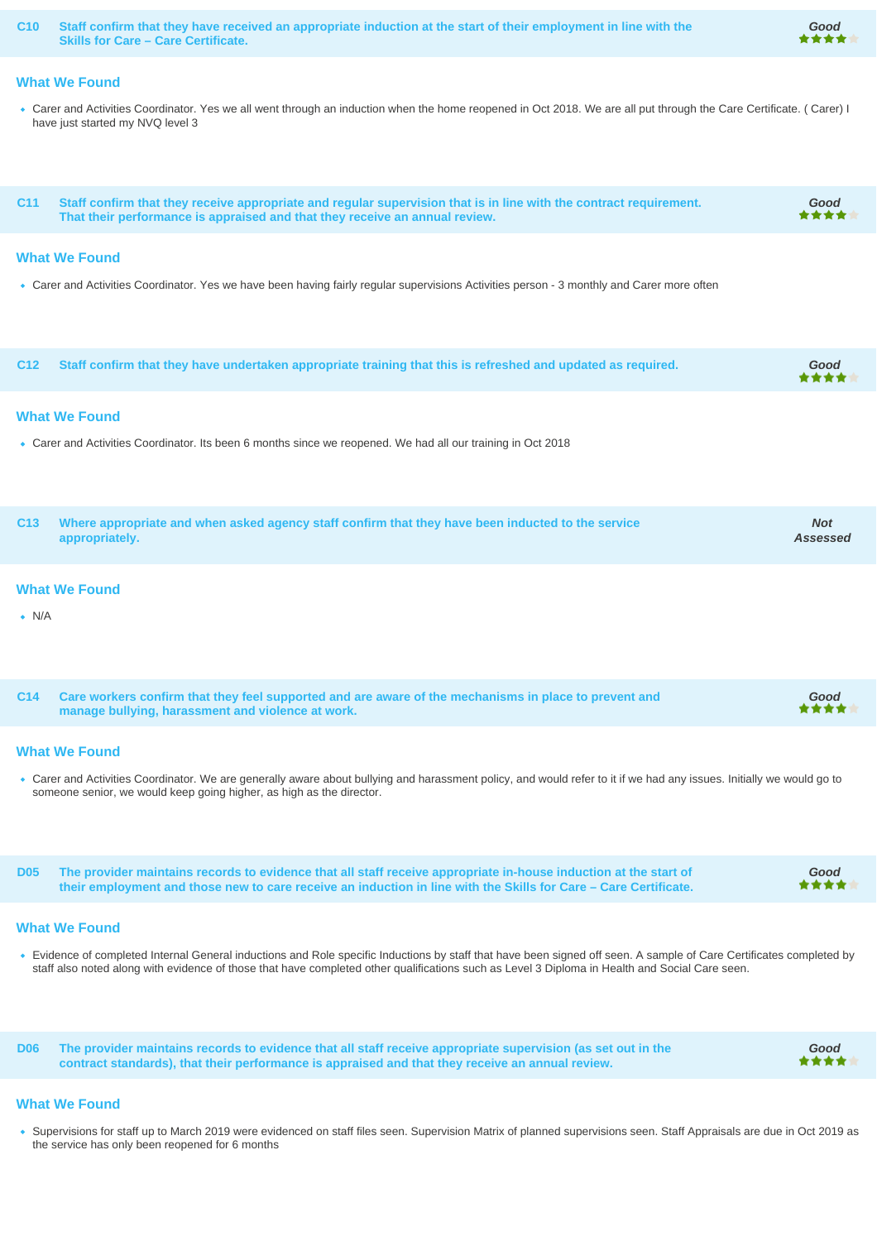**C10 Staff confirm that they have received an appropriate induction at the start of their employment in line with the Skills for Care – Care Certificate.**

#### **What We Found**

Carer and Activities Coordinator. Yes we all went through an induction when the home reopened in Oct 2018. We are all put through the Care Certificate. ( Carer) I have just started my NVQ level 3

**Good**

**Good**

**C11 Staff confirm that they receive appropriate and regular supervision that is in line with the contract requirement. That their performance is appraised and that they receive an annual review. Good**

#### **What We Found**

• Carer and Activities Coordinator. Yes we have been having fairly regular supervisions Activities person - 3 monthly and Carer more often

| C12 Staff confirm that they have undertaken appropriate training that this is refreshed and updated as required. | Good<br>**** |
|------------------------------------------------------------------------------------------------------------------|--------------|
|                                                                                                                  |              |

#### **What We Found**

Carer and Activities Coordinator. Its been 6 months since we reopened. We had all our training in Oct 2018

| C13 Where appropriate and when asked agency staff confirm that they have been inducted to the service<br>appropriately. | <b>Not</b><br>Assessed |
|-------------------------------------------------------------------------------------------------------------------------|------------------------|
|                                                                                                                         |                        |

#### **What We Found**

 $\bullet$  N/A

| C14 Care workers confirm that they feel supported and are aware of the mechanisms in place to prevent and<br>manage bullying, harassment and violence at work. | Good<br>**** |
|----------------------------------------------------------------------------------------------------------------------------------------------------------------|--------------|
|                                                                                                                                                                |              |

#### **What We Found**

Carer and Activities Coordinator. We are generally aware about bullying and harassment policy, and would refer to it if we had any issues. Initially we would go to someone senior, we would keep going higher, as high as the director.

**D05 The provider maintains records to evidence that all staff receive appropriate in-house induction at the start of their employment and those new to care receive an induction in line with the Skills for Care – Care Certificate. Good**

#### **What We Found**

Evidence of completed Internal General inductions and Role specific Inductions by staff that have been signed off seen. A sample of Care Certificates completed by staff also noted along with evidence of those that have completed other qualifications such as Level 3 Diploma in Health and Social Care seen.

**D06 The provider maintains records to evidence that all staff receive appropriate supervision (as set out in the contract standards), that their performance is appraised and that they receive an annual review.**

#### **What We Found**

. Supervisions for staff up to March 2019 were evidenced on staff files seen. Supervision Matrix of planned supervisions seen. Staff Appraisals are due in Oct 2019 as the service has only been reopened for 6 months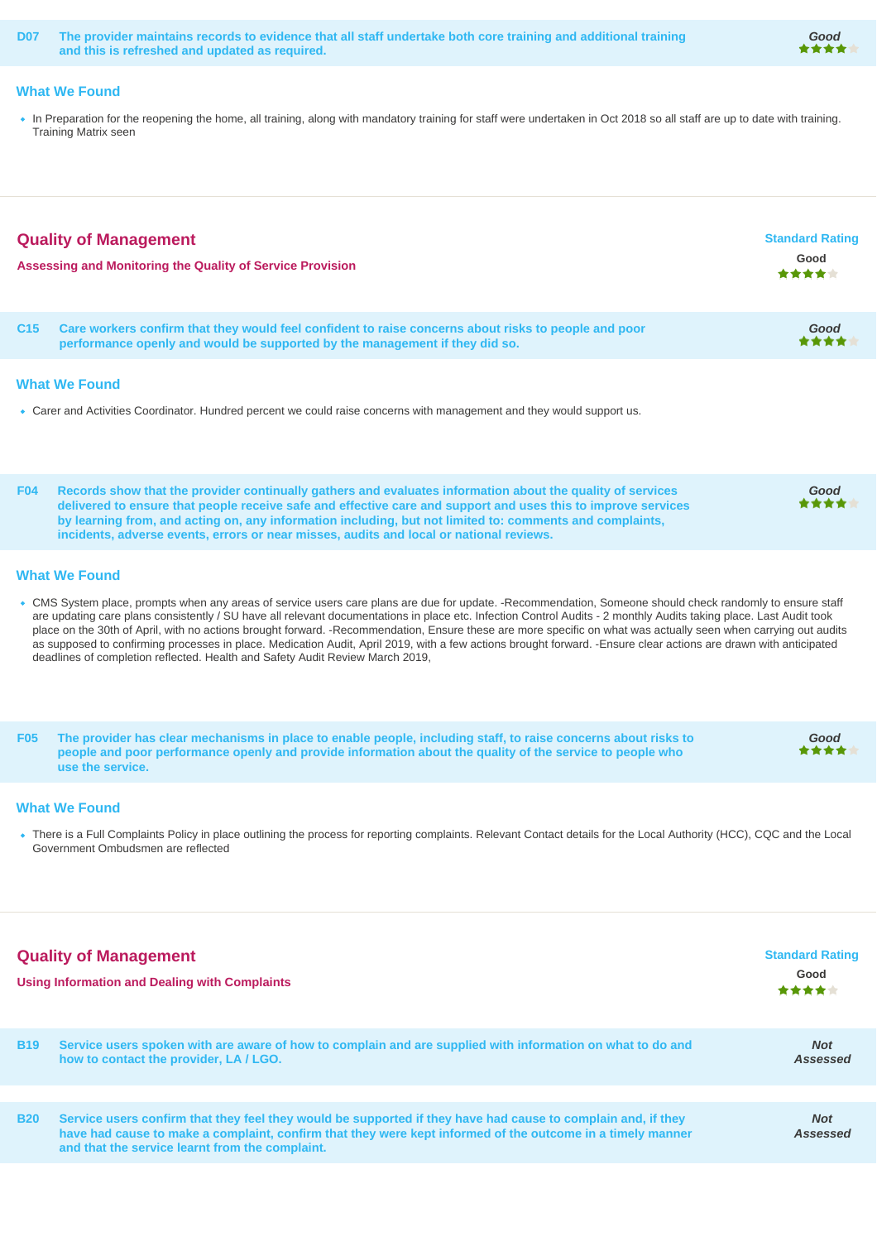**D07 The provider maintains records to evidence that all staff undertake both core training and additional training and this is refreshed and updated as required.**

#### **What We Found**

In Preparation for the reopening the home, all training, along with mandatory training for staff were undertaken in Oct 2018 so all staff are up to date with training. Training Matrix seen

**Good**

| <b>Quality of Management</b><br>Assessing and Monitoring the Quality of Service Provision                                                                                                                                                                                                                                                                                                                                                                                                                                                                                                                                                                                                                                                                                       |                                                                                                                                                                                                                                                                                                                                                                                                                                    | <b>Standard Rating</b><br>Good<br>***** |
|---------------------------------------------------------------------------------------------------------------------------------------------------------------------------------------------------------------------------------------------------------------------------------------------------------------------------------------------------------------------------------------------------------------------------------------------------------------------------------------------------------------------------------------------------------------------------------------------------------------------------------------------------------------------------------------------------------------------------------------------------------------------------------|------------------------------------------------------------------------------------------------------------------------------------------------------------------------------------------------------------------------------------------------------------------------------------------------------------------------------------------------------------------------------------------------------------------------------------|-----------------------------------------|
| C <sub>15</sub>                                                                                                                                                                                                                                                                                                                                                                                                                                                                                                                                                                                                                                                                                                                                                                 | Care workers confirm that they would feel confident to raise concerns about risks to people and poor<br>performance openly and would be supported by the management if they did so.                                                                                                                                                                                                                                                | Good                                    |
|                                                                                                                                                                                                                                                                                                                                                                                                                                                                                                                                                                                                                                                                                                                                                                                 | <b>What We Found</b><br>• Carer and Activities Coordinator. Hundred percent we could raise concerns with management and they would support us.                                                                                                                                                                                                                                                                                     |                                         |
| <b>F04</b>                                                                                                                                                                                                                                                                                                                                                                                                                                                                                                                                                                                                                                                                                                                                                                      | Records show that the provider continually gathers and evaluates information about the quality of services<br>delivered to ensure that people receive safe and effective care and support and uses this to improve services<br>by learning from, and acting on, any information including, but not limited to: comments and complaints,<br>incidents, adverse events, errors or near misses, audits and local or national reviews. | Good                                    |
| <b>What We Found</b><br>• CMS System place, prompts when any areas of service users care plans are due for update. -Recommendation, Someone should check randomly to ensure staff<br>are updating care plans consistently / SU have all relevant documentations in place etc. Infection Control Audits - 2 monthly Audits taking place. Last Audit took<br>place on the 30th of April, with no actions brought forward. -Recommendation, Ensure these are more specific on what was actually seen when carrying out audits<br>as supposed to confirming processes in place. Medication Audit, April 2019, with a few actions brought forward. -Ensure clear actions are drawn with anticipated<br>deadlines of completion reflected. Health and Safety Audit Review March 2019, |                                                                                                                                                                                                                                                                                                                                                                                                                                    |                                         |
| <b>F05</b>                                                                                                                                                                                                                                                                                                                                                                                                                                                                                                                                                                                                                                                                                                                                                                      | The provider has clear mechanisms in place to enable people, including staff, to raise concerns about risks to<br>people and poor performance openly and provide information about the quality of the service to people who<br>use the service.                                                                                                                                                                                    | Good                                    |

#### **What We Found**

There is a Full Complaints Policy in place outlining the process for reporting complaints. Relevant Contact details for the Local Authority (HCC), CQC and the Local Government Ombudsmen are reflected

| <b>Quality of Management</b><br><b>Using Information and Dealing with Complaints</b> |                                                                                                                                                                                                                                                                               | <b>Standard Rating</b><br>Good<br>***** |
|--------------------------------------------------------------------------------------|-------------------------------------------------------------------------------------------------------------------------------------------------------------------------------------------------------------------------------------------------------------------------------|-----------------------------------------|
| <b>B19</b>                                                                           | Service users spoken with are aware of how to complain and are supplied with information on what to do and<br>how to contact the provider, LA/LGO.                                                                                                                            | <b>Not</b><br>Assessed                  |
|                                                                                      |                                                                                                                                                                                                                                                                               |                                         |
| <b>B20</b>                                                                           | Service users confirm that they feel they would be supported if they have had cause to complain and, if they<br>have had cause to make a complaint, confirm that they were kept informed of the outcome in a timely manner<br>and that the service learnt from the complaint. | <b>Not</b><br>Assessed                  |
|                                                                                      |                                                                                                                                                                                                                                                                               |                                         |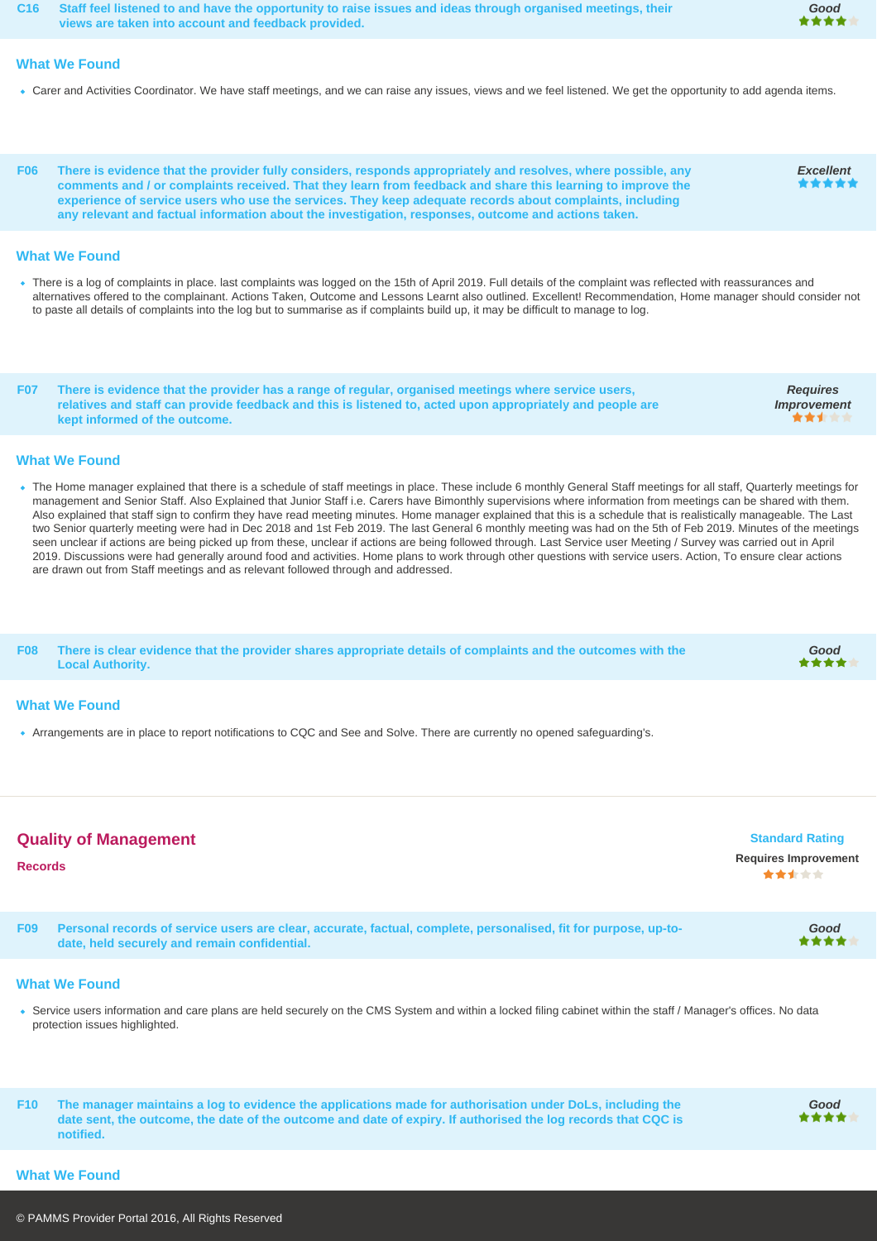**C16 Staff feel listened to and have the opportunity to raise issues and ideas through organised meetings, their views are taken into account and feedback provided.**

#### **What We Found**

- Carer and Activities Coordinator. We have staff meetings, and we can raise any issues, views and we feel listened. We get the opportunity to add agenda items.
- **F06 There is evidence that the provider fully considers, responds appropriately and resolves, where possible, any comments and / or complaints received. That they learn from feedback and share this learning to improve the experience of service users who use the services. They keep adequate records about complaints, including any relevant and factual information about the investigation, responses, outcome and actions taken.**

#### **What We Found**

. There is a log of complaints in place. last complaints was logged on the 15th of April 2019. Full details of the complaint was reflected with reassurances and alternatives offered to the complainant. Actions Taken, Outcome and Lessons Learnt also outlined. Excellent! Recommendation, Home manager should consider not to paste all details of complaints into the log but to summarise as if complaints build up, it may be difficult to manage to log.

**F07 There is evidence that the provider has a range of regular, organised meetings where service users, relatives and staff can provide feedback and this is listened to, acted upon appropriately and people are kept informed of the outcome.**

#### **What We Found**

- . The Home manager explained that there is a schedule of staff meetings in place. These include 6 monthly General Staff meetings for all staff, Quarterly meetings for management and Senior Staff. Also Explained that Junior Staff i.e. Carers have Bimonthly supervisions where information from meetings can be shared with them. Also explained that staff sign to confirm they have read meeting minutes. Home manager explained that this is a schedule that is realistically manageable. The Last two Senior quarterly meeting were had in Dec 2018 and 1st Feb 2019. The last General 6 monthly meeting was had on the 5th of Feb 2019. Minutes of the meetings seen unclear if actions are being picked up from these, unclear if actions are being followed through. Last Service user Meeting / Survey was carried out in April 2019. Discussions were had generally around food and activities. Home plans to work through other questions with service users. Action, To ensure clear actions are drawn out from Staff meetings and as relevant followed through and addressed.
- **F08 There is clear evidence that the provider shares appropriate details of complaints and the outcomes with the Good Local Authority.** \*\*

#### **What We Found**

Arrangements are in place to report notifications to CQC and See and Solve. There are currently no opened safeguarding's.

| <b>Quality of Management</b><br><b>Records</b> |                                                                                                                                                                 | <b>Standard Rating</b><br><b>Requires Improvement</b><br>***** |
|------------------------------------------------|-----------------------------------------------------------------------------------------------------------------------------------------------------------------|----------------------------------------------------------------|
| F <sub>09</sub>                                | Personal records of service users are clear, accurate, factual, complete, personalised, fit for purpose, up-to-<br>date, held securely and remain confidential. | Good<br>****                                                   |
|                                                |                                                                                                                                                                 |                                                                |

#### **What We Found**

Service users information and care plans are held securely on the CMS System and within a locked filing cabinet within the staff / Manager's offices. No data protection issues highlighted.

**F10 The manager maintains a log to evidence the applications made for authorisation under DoLs, including the date sent, the outcome, the date of the outcome and date of expiry. If authorised the log records that CQC is notified.**



**Good**

**Excellent**

**Requires Improvement**

**...** 

#### **What We Found**